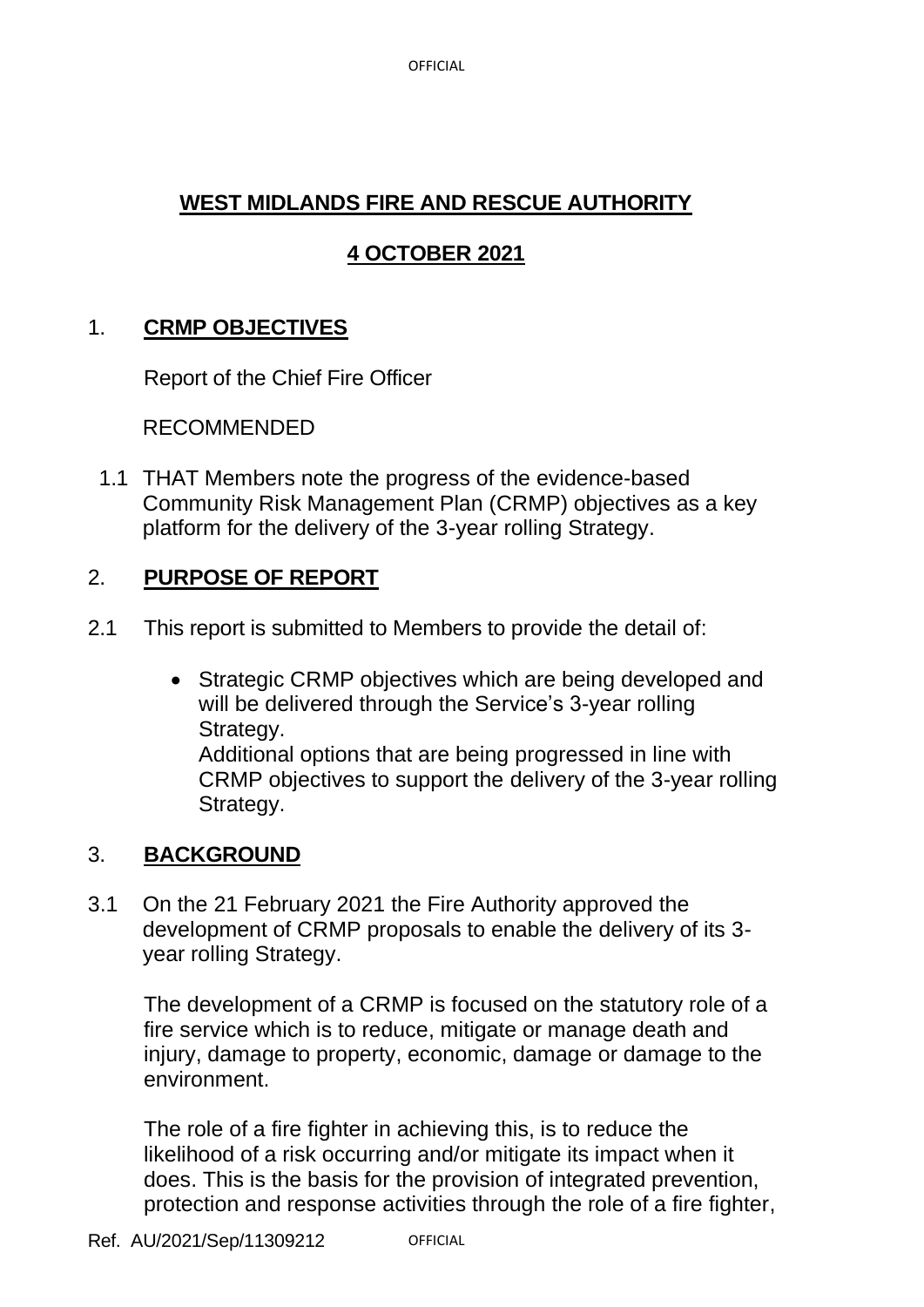OFFICIAL

# **WEST MIDLANDS FIRE AND RESCUE AUTHORITY**

# **4 OCTOBER 2021**

## 1. **CRMP OBJECTIVES**

Report of the Chief Fire Officer

RECOMMENDED

1.1 THAT Members note the progress of the evidence-based Community Risk Management Plan (CRMP) objectives as a key platform for the delivery of the 3-year rolling Strategy.

# 2. **PURPOSE OF REPORT**

- 2.1 This report is submitted to Members to provide the detail of:
	- Strategic CRMP objectives which are being developed and will be delivered through the Service's 3-year rolling Strategy. Additional options that are being progressed in line with CRMP objectives to support the delivery of the 3-year rolling Strategy.

# 3. **BACKGROUND**

3.1 On the 21 February 2021 the Fire Authority approved the development of CRMP proposals to enable the delivery of its 3 year rolling Strategy.

The development of a CRMP is focused on the statutory role of a fire service which is to reduce, mitigate or manage death and injury, damage to property, economic, damage or damage to the environment.

The role of a fire fighter in achieving this, is to reduce the likelihood of a risk occurring and/or mitigate its impact when it does. This is the basis for the provision of integrated prevention, protection and response activities through the role of a fire fighter,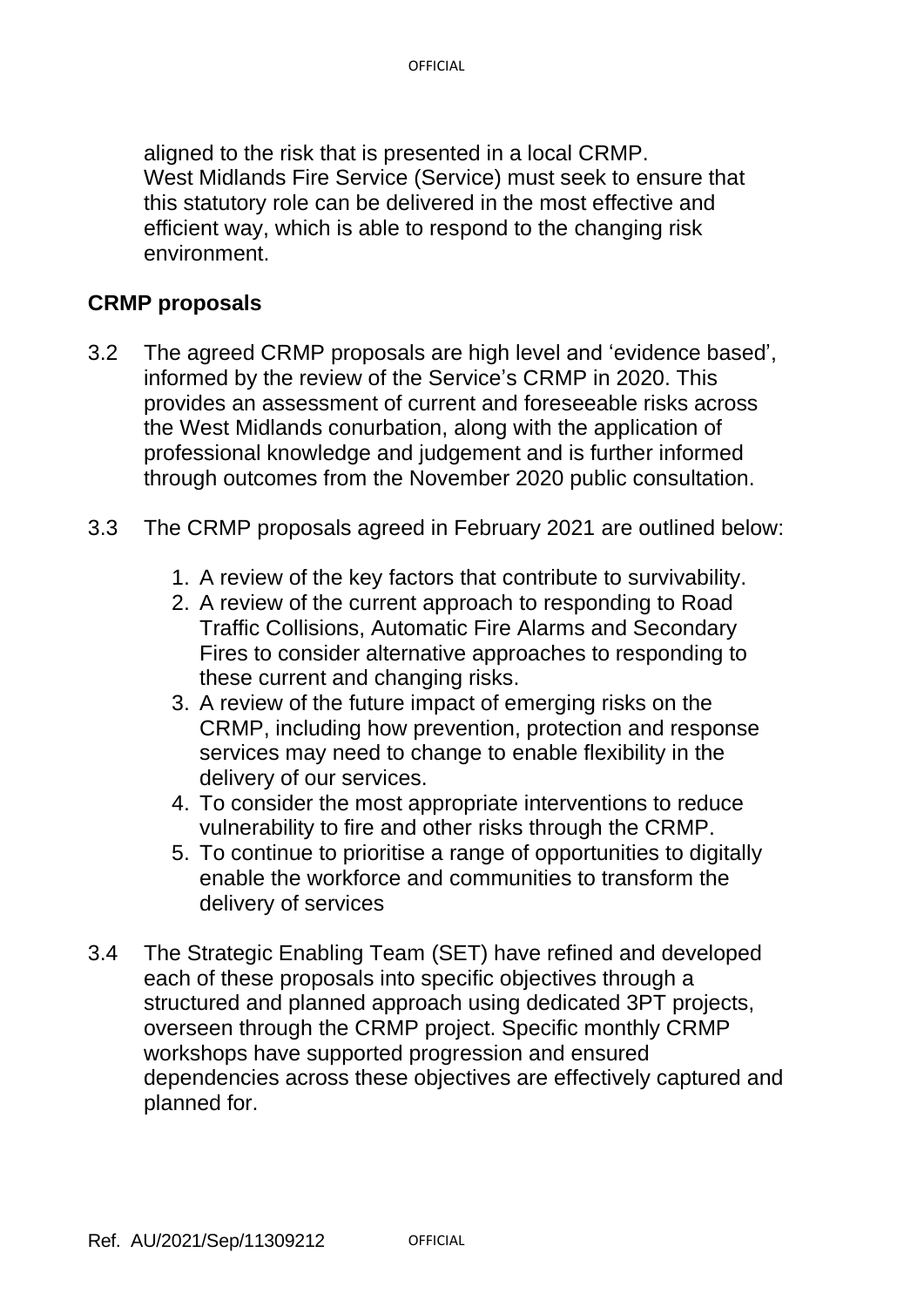aligned to the risk that is presented in a local CRMP. West Midlands Fire Service (Service) must seek to ensure that this statutory role can be delivered in the most effective and efficient way, which is able to respond to the changing risk environment.

#### **CRMP proposals**

- 3.2 The agreed CRMP proposals are high level and 'evidence based', informed by the review of the Service's CRMP in 2020. This provides an assessment of current and foreseeable risks across the West Midlands conurbation, along with the application of professional knowledge and judgement and is further informed through outcomes from the November 2020 public consultation.
- 3.3 The CRMP proposals agreed in February 2021 are outlined below:
	- 1. A review of the key factors that contribute to survivability.
	- 2. A review of the current approach to responding to Road Traffic Collisions, Automatic Fire Alarms and Secondary Fires to consider alternative approaches to responding to these current and changing risks.
	- 3. A review of the future impact of emerging risks on the CRMP, including how prevention, protection and response services may need to change to enable flexibility in the delivery of our services.
	- 4. To consider the most appropriate interventions to reduce vulnerability to fire and other risks through the CRMP.
	- 5. To continue to prioritise a range of opportunities to digitally enable the workforce and communities to transform the delivery of services
- 3.4 The Strategic Enabling Team (SET) have refined and developed each of these proposals into specific objectives through a structured and planned approach using dedicated 3PT projects, overseen through the CRMP project. Specific monthly CRMP workshops have supported progression and ensured dependencies across these objectives are effectively captured and planned for.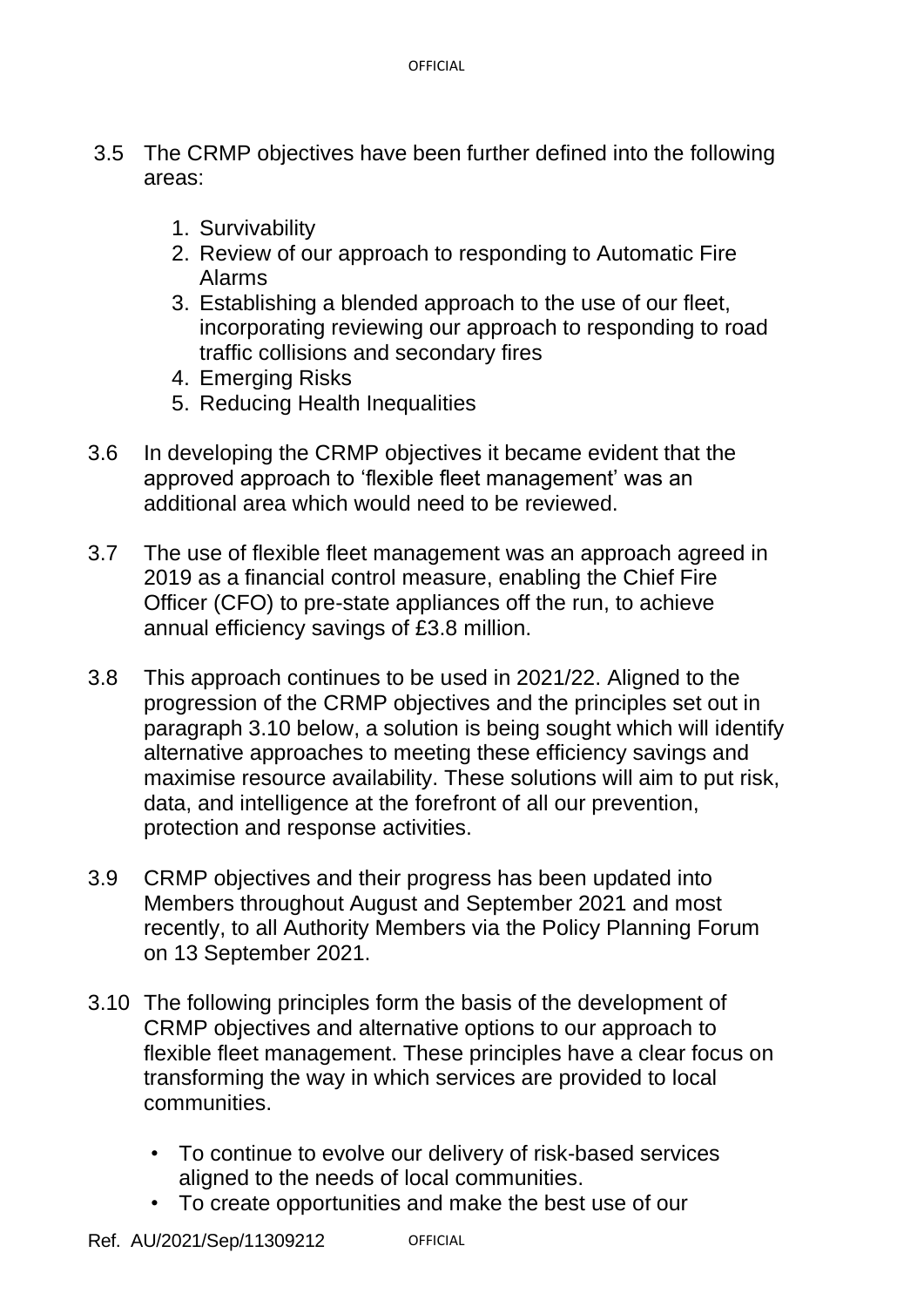- 3.5 The CRMP objectives have been further defined into the following areas:
	- 1. Survivability
	- 2. Review of our approach to responding to Automatic Fire Alarms
	- 3. Establishing a blended approach to the use of our fleet, incorporating reviewing our approach to responding to road traffic collisions and secondary fires
	- 4. Emerging Risks
	- 5. Reducing Health Inequalities
- 3.6 In developing the CRMP objectives it became evident that the approved approach to 'flexible fleet management' was an additional area which would need to be reviewed.
- 3.7 The use of flexible fleet management was an approach agreed in 2019 as a financial control measure, enabling the Chief Fire Officer (CFO) to pre-state appliances off the run, to achieve annual efficiency savings of £3.8 million.
- 3.8 This approach continues to be used in 2021/22. Aligned to the progression of the CRMP objectives and the principles set out in paragraph 3.10 below, a solution is being sought which will identify alternative approaches to meeting these efficiency savings and maximise resource availability. These solutions will aim to put risk, data, and intelligence at the forefront of all our prevention, protection and response activities.
- 3.9 CRMP objectives and their progress has been updated into Members throughout August and September 2021 and most recently, to all Authority Members via the Policy Planning Forum on 13 September 2021.
- 3.10 The following principles form the basis of the development of CRMP objectives and alternative options to our approach to flexible fleet management. These principles have a clear focus on transforming the way in which services are provided to local communities.
	- To continue to evolve our delivery of risk-based services aligned to the needs of local communities.
	- To create opportunities and make the best use of our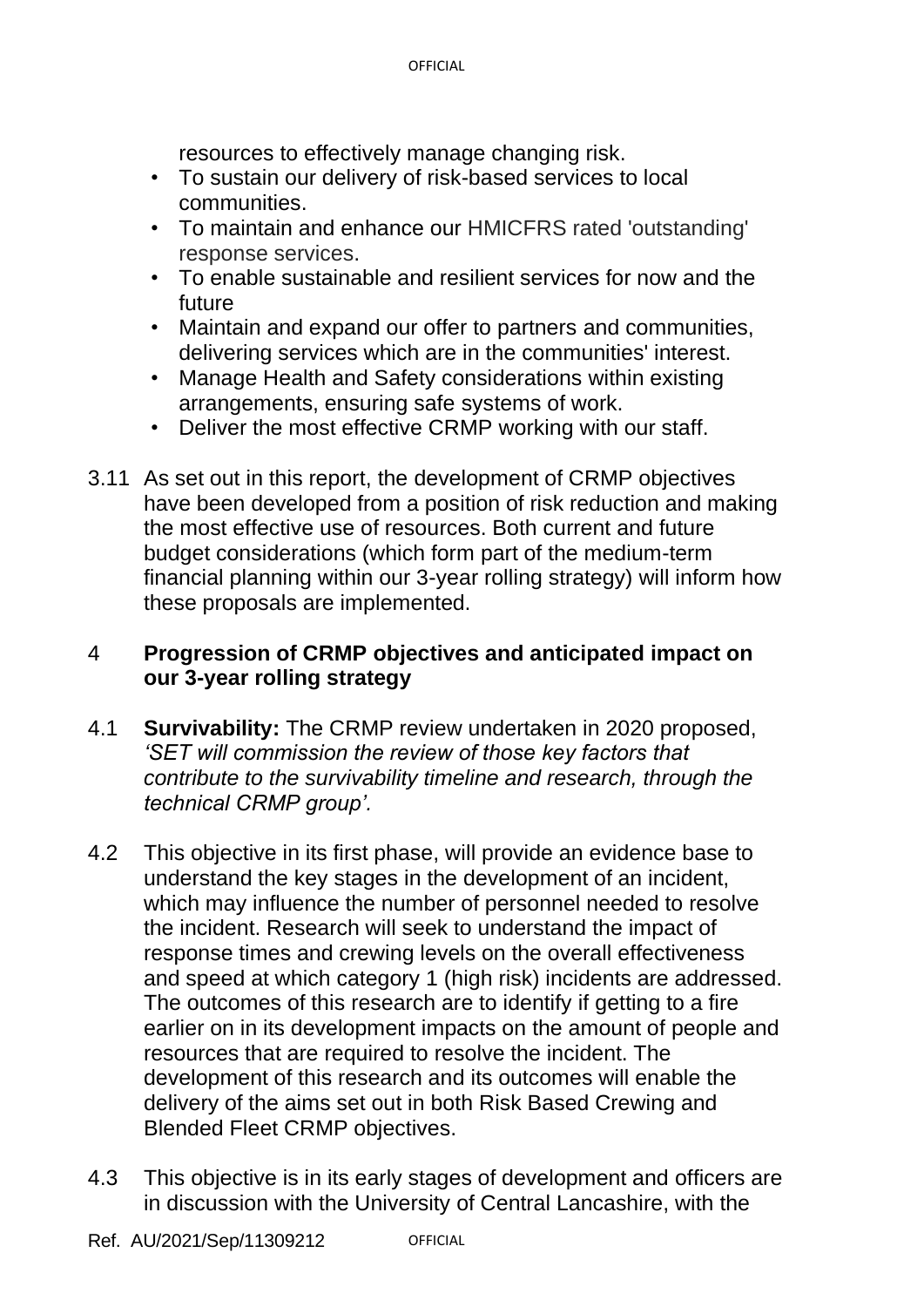resources to effectively manage changing risk.

- To sustain our delivery of risk-based services to local communities.
- To maintain and enhance our HMICFRS rated 'outstanding' response services.
- To enable sustainable and resilient services for now and the future
- Maintain and expand our offer to partners and communities, delivering services which are in the communities' interest.
- Manage Health and Safety considerations within existing arrangements, ensuring safe systems of work.
- Deliver the most effective CRMP working with our staff.
- 3.11 As set out in this report, the development of CRMP objectives have been developed from a position of risk reduction and making the most effective use of resources. Both current and future budget considerations (which form part of the medium-term financial planning within our 3-year rolling strategy) will inform how these proposals are implemented.

#### 4 **Progression of CRMP objectives and anticipated impact on our 3-year rolling strategy**

- 4.1 **Survivability:** The CRMP review undertaken in 2020 proposed, *'SET will commission the review of those key factors that contribute to the survivability timeline and research, through the technical CRMP group'.*
- 4.2 This objective in its first phase, will provide an evidence base to understand the key stages in the development of an incident, which may influence the number of personnel needed to resolve the incident. Research will seek to understand the impact of response times and crewing levels on the overall effectiveness and speed at which category 1 (high risk) incidents are addressed. The outcomes of this research are to identify if getting to a fire earlier on in its development impacts on the amount of people and resources that are required to resolve the incident. The development of this research and its outcomes will enable the delivery of the aims set out in both Risk Based Crewing and Blended Fleet CRMP objectives.
- 4.3 This objective is in its early stages of development and officers are in discussion with the University of Central Lancashire, with the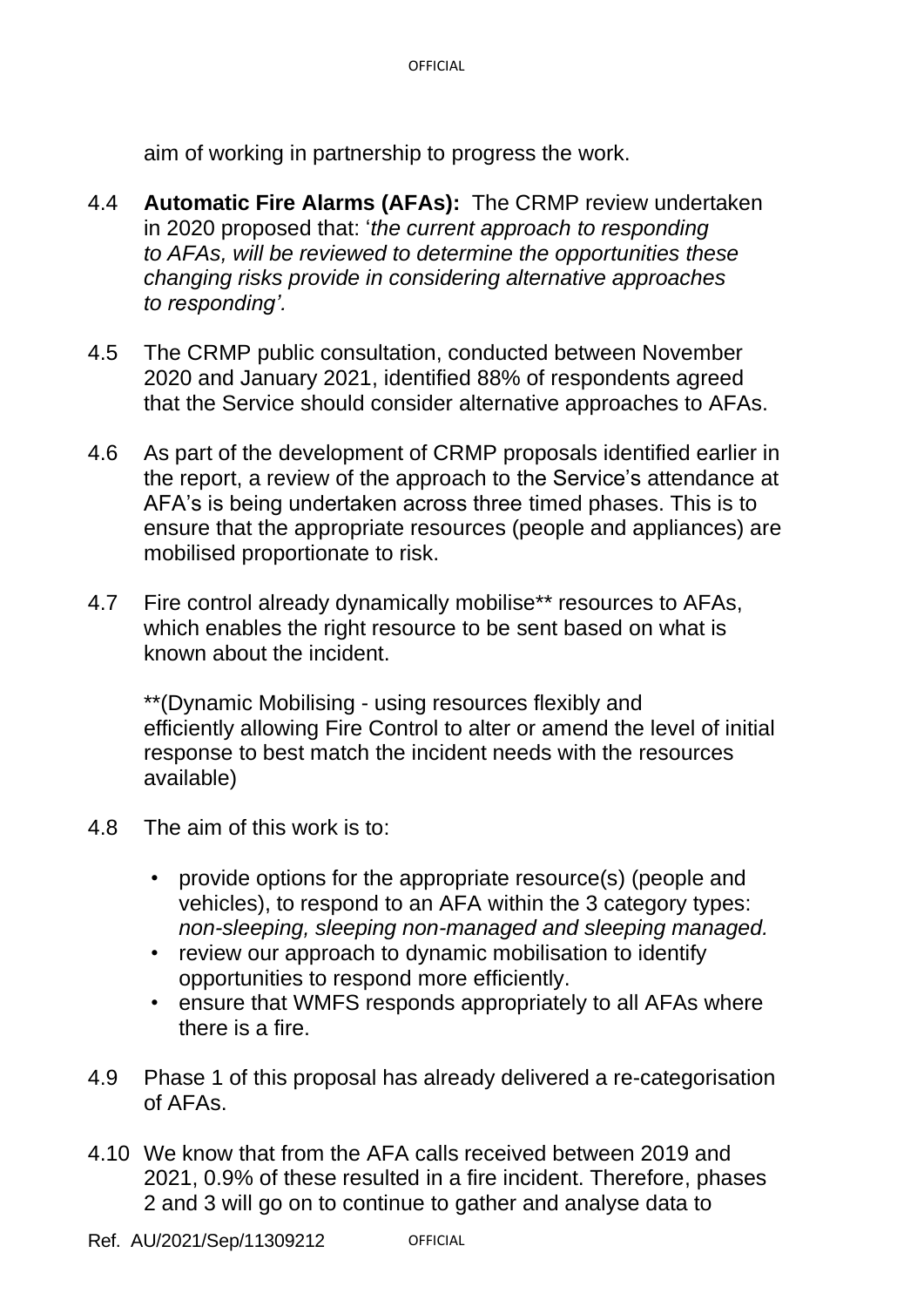aim of working in partnership to progress the work.

- 4.4 **Automatic Fire Alarms (AFAs):** The CRMP review undertaken in 2020 proposed that: '*the current approach to responding to AFAs, will be reviewed to determine the opportunities these changing risks provide in considering alternative approaches to responding'.*
- 4.5 The CRMP public consultation, conducted between November 2020 and January 2021, identified 88% of respondents agreed that the Service should consider alternative approaches to AFAs.
- 4.6 As part of the development of CRMP proposals identified earlier in the report, a review of the approach to the Service's attendance at AFA's is being undertaken across three timed phases. This is to ensure that the appropriate resources (people and appliances) are mobilised proportionate to risk.
- 4.7 Fire control already dynamically mobilise\*\* resources to AFAs, which enables the right resource to be sent based on what is known about the incident.

\*\*(Dynamic Mobilising - using resources flexibly and efficiently allowing Fire Control to alter or amend the level of initial response to best match the incident needs with the resources available)

- 4.8 The aim of this work is to:
	- provide options for the appropriate resource(s) (people and vehicles), to respond to an AFA within the 3 category types: *non-sleeping, sleeping non-managed and sleeping managed.*
	- review our approach to dynamic mobilisation to identify opportunities to respond more efficiently.
	- ensure that WMFS responds appropriately to all AFAs where there is a fire.
- 4.9 Phase 1 of this proposal has already delivered a re-categorisation of AFAs.
- 4.10 We know that from the AFA calls received between 2019 and 2021, 0.9% of these resulted in a fire incident. Therefore, phases 2 and 3 will go on to continue to gather and analyse data to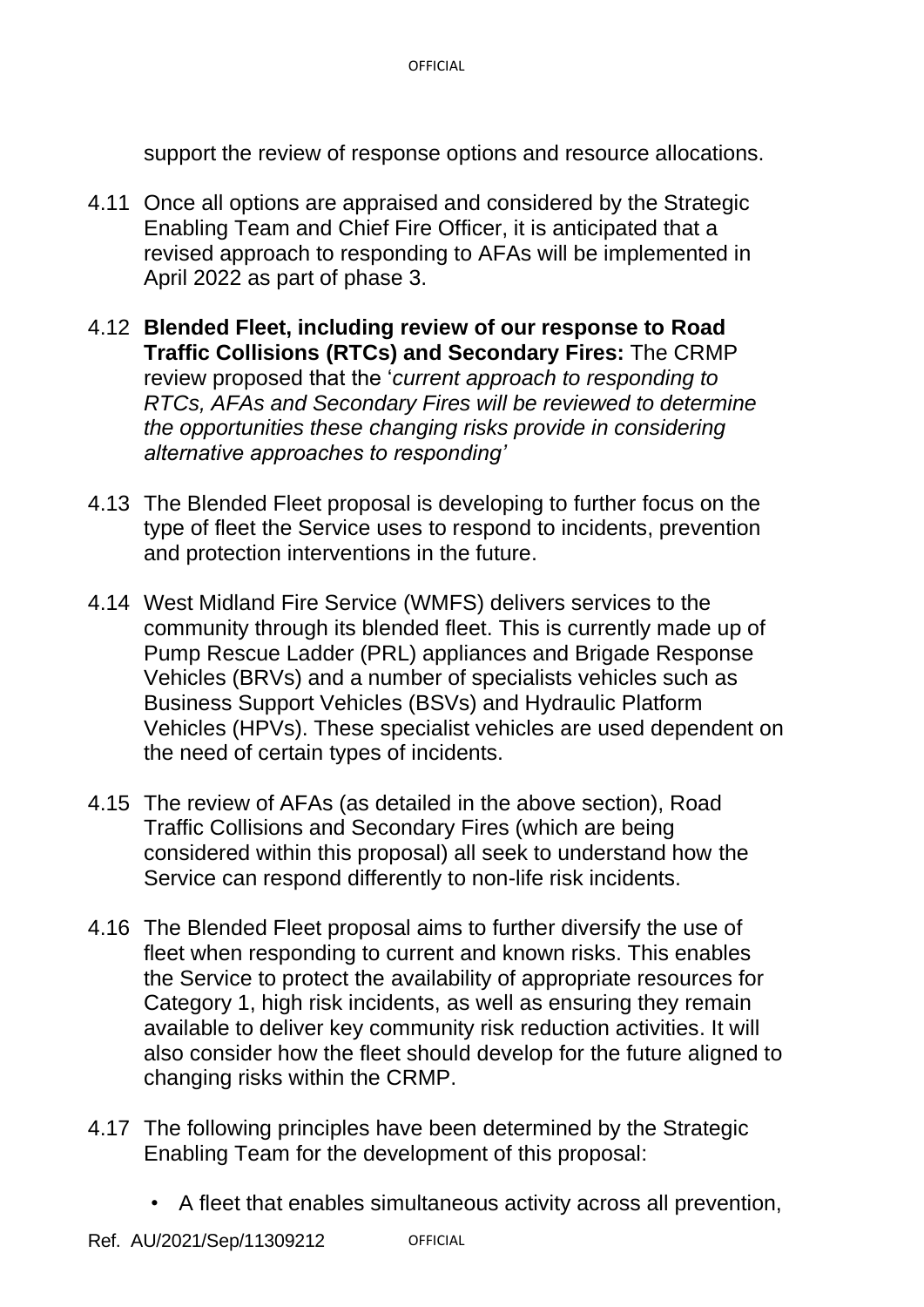support the review of response options and resource allocations.

- 4.11 Once all options are appraised and considered by the Strategic Enabling Team and Chief Fire Officer, it is anticipated that a revised approach to responding to AFAs will be implemented in April 2022 as part of phase 3.
- 4.12 **Blended Fleet, including review of our response to Road Traffic Collisions (RTCs) and Secondary Fires:** The CRMP review proposed that the '*current approach to responding to RTCs, AFAs and Secondary Fires will be reviewed to determine the opportunities these changing risks provide in considering alternative approaches to responding'*
- 4.13 The Blended Fleet proposal is developing to further focus on the type of fleet the Service uses to respond to incidents, prevention and protection interventions in the future.
- 4.14 West Midland Fire Service (WMFS) delivers services to the community through its blended fleet. This is currently made up of Pump Rescue Ladder (PRL) appliances and Brigade Response Vehicles (BRVs) and a number of specialists vehicles such as Business Support Vehicles (BSVs) and Hydraulic Platform Vehicles (HPVs). These specialist vehicles are used dependent on the need of certain types of incidents.
- 4.15 The review of AFAs (as detailed in the above section), Road Traffic Collisions and Secondary Fires (which are being considered within this proposal) all seek to understand how the Service can respond differently to non-life risk incidents.
- 4.16 The Blended Fleet proposal aims to further diversify the use of fleet when responding to current and known risks. This enables the Service to protect the availability of appropriate resources for Category 1, high risk incidents, as well as ensuring they remain available to deliver key community risk reduction activities. It will also consider how the fleet should develop for the future aligned to changing risks within the CRMP.
- 4.17 The following principles have been determined by the Strategic Enabling Team for the development of this proposal:
	- A fleet that enables simultaneous activity across all prevention,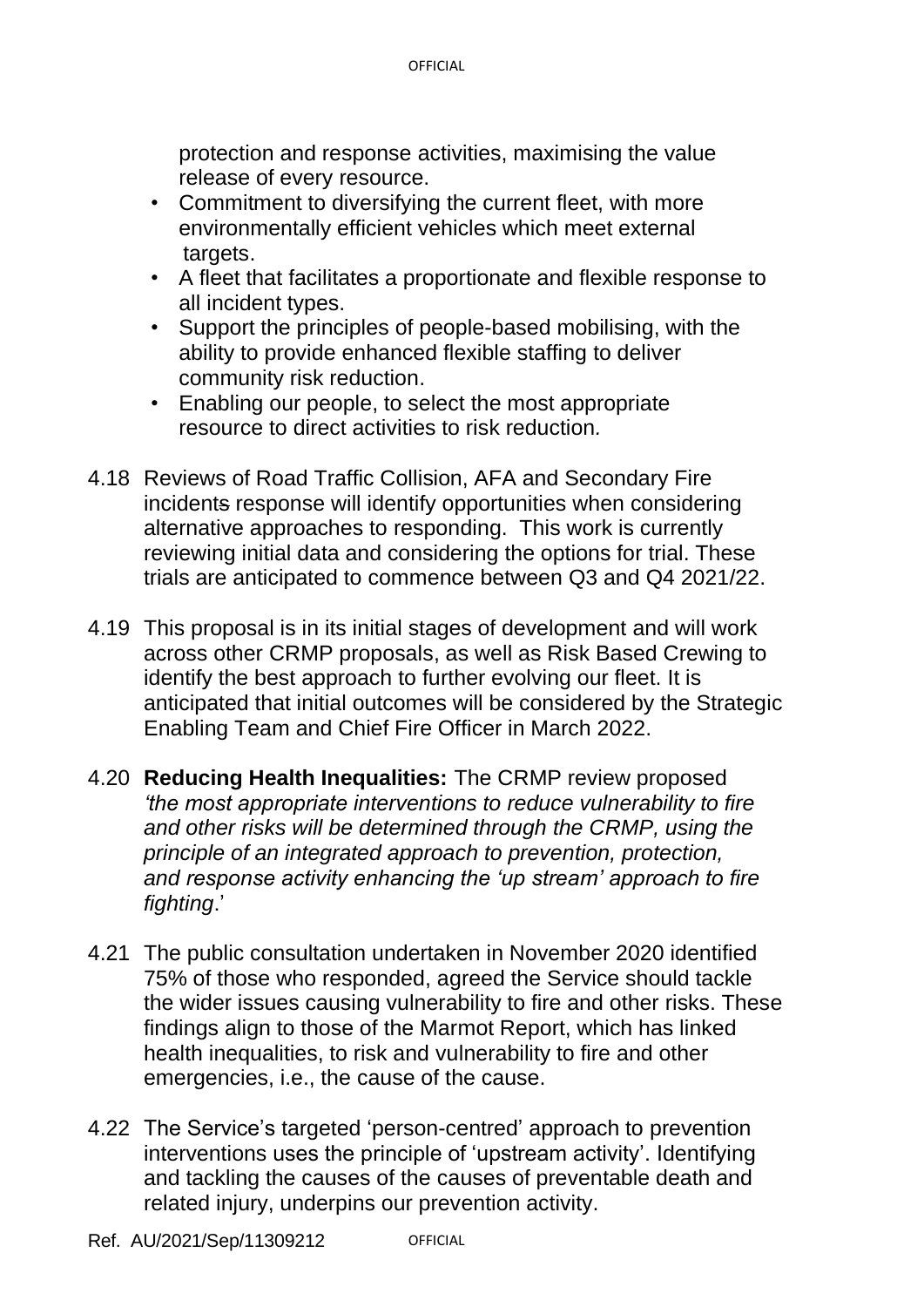protection and response activities, maximising the value release of every resource.

- Commitment to diversifying the current fleet, with more environmentally efficient vehicles which meet external targets.
- A fleet that facilitates a proportionate and flexible response to all incident types.
- Support the principles of people-based mobilising, with the ability to provide enhanced flexible staffing to deliver community risk reduction.
- Enabling our people, to select the most appropriate resource to direct activities to risk reduction*.*
- 4.18 Reviews of Road Traffic Collision, AFA and Secondary Fire incidents response will identify opportunities when considering alternative approaches to responding. This work is currently reviewing initial data and considering the options for trial. These trials are anticipated to commence between Q3 and Q4 2021/22.
- 4.19 This proposal is in its initial stages of development and will work across other CRMP proposals, as well as Risk Based Crewing to identify the best approach to further evolving our fleet. It is anticipated that initial outcomes will be considered by the Strategic Enabling Team and Chief Fire Officer in March 2022.
- 4.20 **Reducing Health Inequalities:** The CRMP review proposed *'the most appropriate interventions to reduce vulnerability to fire and other risks will be determined through the CRMP, using the principle of an integrated approach to prevention, protection, and response activity enhancing the 'up stream' approach to fire fighting*.'
- 4.21 The public consultation undertaken in November 2020 identified 75% of those who responded, agreed the Service should tackle the wider issues causing vulnerability to fire and other risks. These findings align to those of the Marmot Report, which has linked health inequalities, to risk and vulnerability to fire and other emergencies, i.e., the cause of the cause.
- 4.22 The Service's targeted 'person-centred' approach to prevention interventions uses the principle of 'upstream activity'. Identifying and tackling the causes of the causes of preventable death and related injury, underpins our prevention activity.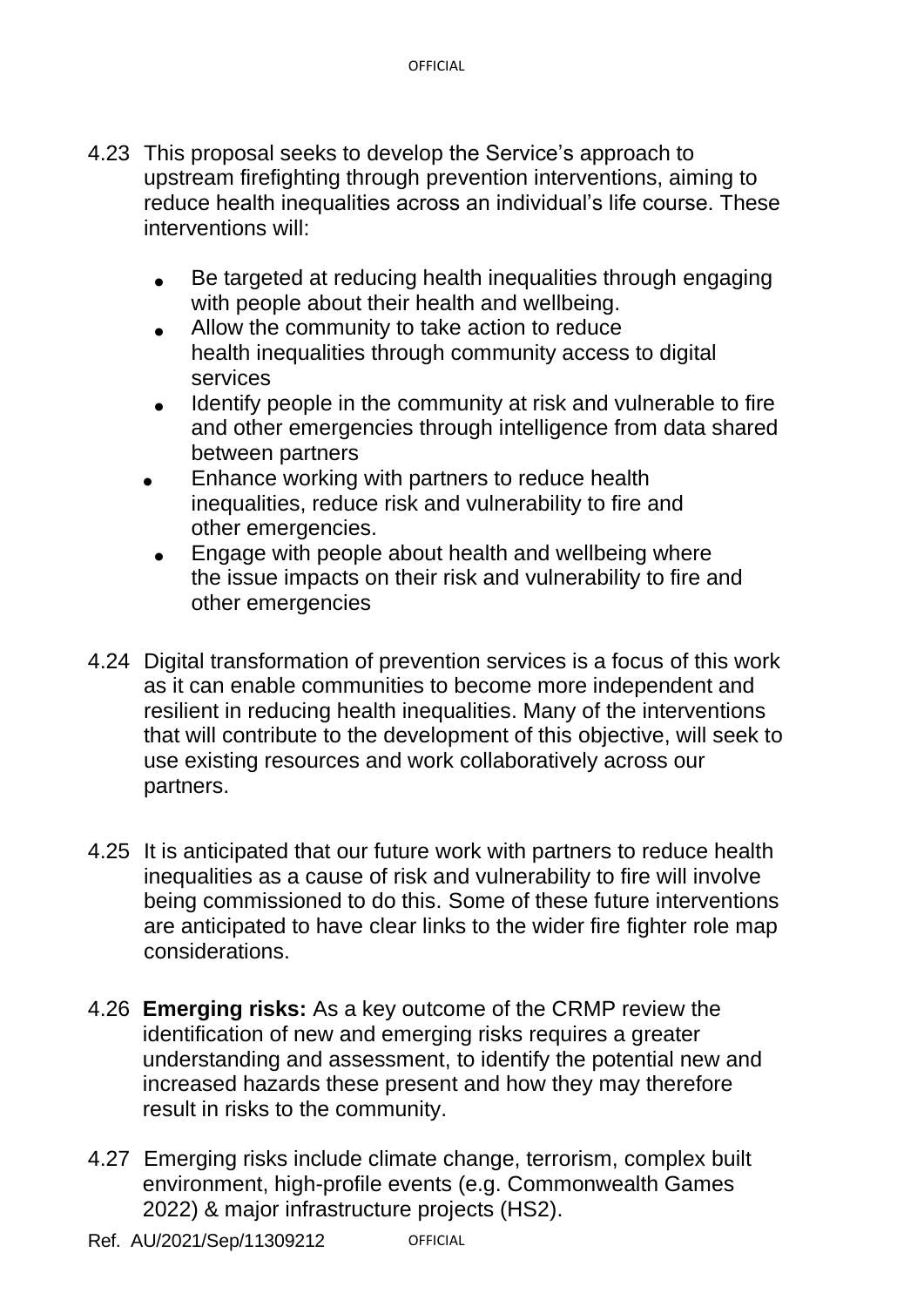- 4.23 This proposal seeks to develop the Service's approach to upstream firefighting through prevention interventions, aiming to reduce health inequalities across an individual's life course. These interventions will:
	- Be targeted at reducing health inequalities through engaging with people about their health and wellbeing.
	- Allow the community to take action to reduce health inequalities through community access to digital services
	- Identify people in the community at risk and vulnerable to fire and other emergencies through intelligence from data shared between partners
	- Enhance working with partners to reduce health inequalities, reduce risk and vulnerability to fire and other emergencies.
	- Engage with people about health and wellbeing where the issue impacts on their risk and vulnerability to fire and other emergencies
- 4.24 Digital transformation of prevention services is a focus of this work as it can enable communities to become more independent and resilient in reducing health inequalities. Many of the interventions that will contribute to the development of this objective, will seek to use existing resources and work collaboratively across our partners.
- 4.25 It is anticipated that our future work with partners to reduce health inequalities as a cause of risk and vulnerability to fire will involve being commissioned to do this. Some of these future interventions are anticipated to have clear links to the wider fire fighter role map considerations.
- 4.26 **Emerging risks:** As a key outcome of the CRMP review the identification of new and emerging risks requires a greater understanding and assessment, to identify the potential new and increased hazards these present and how they may therefore result in risks to the community.
- 4.27 Emerging risks include climate change, terrorism, complex built environment, high-profile events (e.g. Commonwealth Games 2022) & major infrastructure projects (HS2).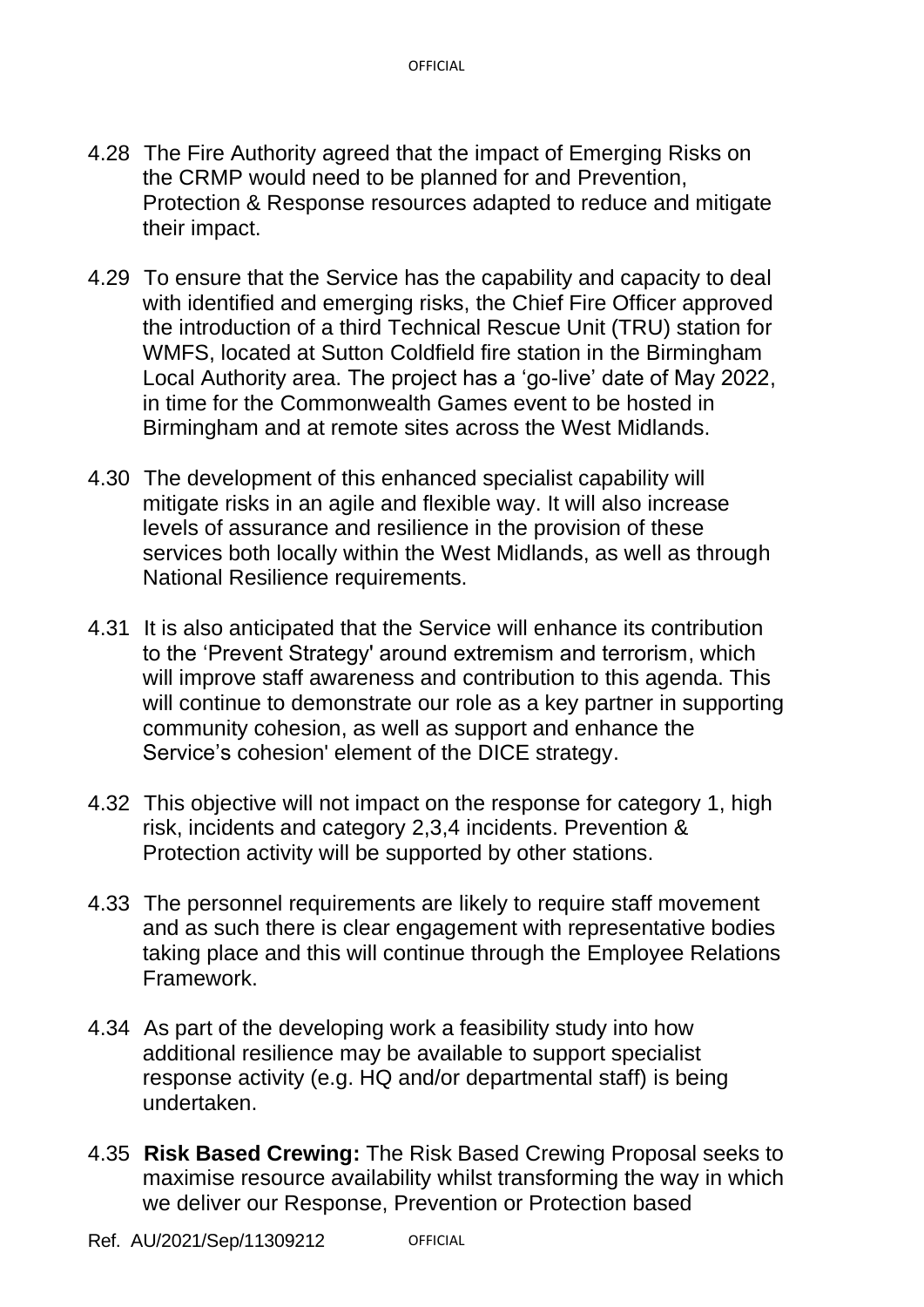- 4.28 The Fire Authority agreed that the impact of Emerging Risks on the CRMP would need to be planned for and Prevention, Protection & Response resources adapted to reduce and mitigate their impact.
- 4.29 To ensure that the Service has the capability and capacity to deal with identified and emerging risks, the Chief Fire Officer approved the introduction of a third Technical Rescue Unit (TRU) station for WMFS, located at Sutton Coldfield fire station in the Birmingham Local Authority area. The project has a 'go-live' date of May 2022, in time for the Commonwealth Games event to be hosted in Birmingham and at remote sites across the West Midlands.
- 4.30 The development of this enhanced specialist capability will mitigate risks in an agile and flexible way. It will also increase levels of assurance and resilience in the provision of these services both locally within the West Midlands, as well as through National Resilience requirements.
- 4.31 It is also anticipated that the Service will enhance its contribution to the 'Prevent Strategy' around extremism and terrorism, which will improve staff awareness and contribution to this agenda. This will continue to demonstrate our role as a key partner in supporting community cohesion, as well as support and enhance the Service's cohesion' element of the DICE strategy.
- 4.32 This objective will not impact on the response for category 1, high risk, incidents and category 2,3,4 incidents. Prevention & Protection activity will be supported by other stations.
- 4.33 The personnel requirements are likely to require staff movement and as such there is clear engagement with representative bodies taking place and this will continue through the Employee Relations Framework.
- 4.34 As part of the developing work a feasibility study into how additional resilience may be available to support specialist response activity (e.g. HQ and/or departmental staff) is being undertaken.
- 4.35 **Risk Based Crewing:** The Risk Based Crewing Proposal seeks to maximise resource availability whilst transforming the way in which we deliver our Response, Prevention or Protection based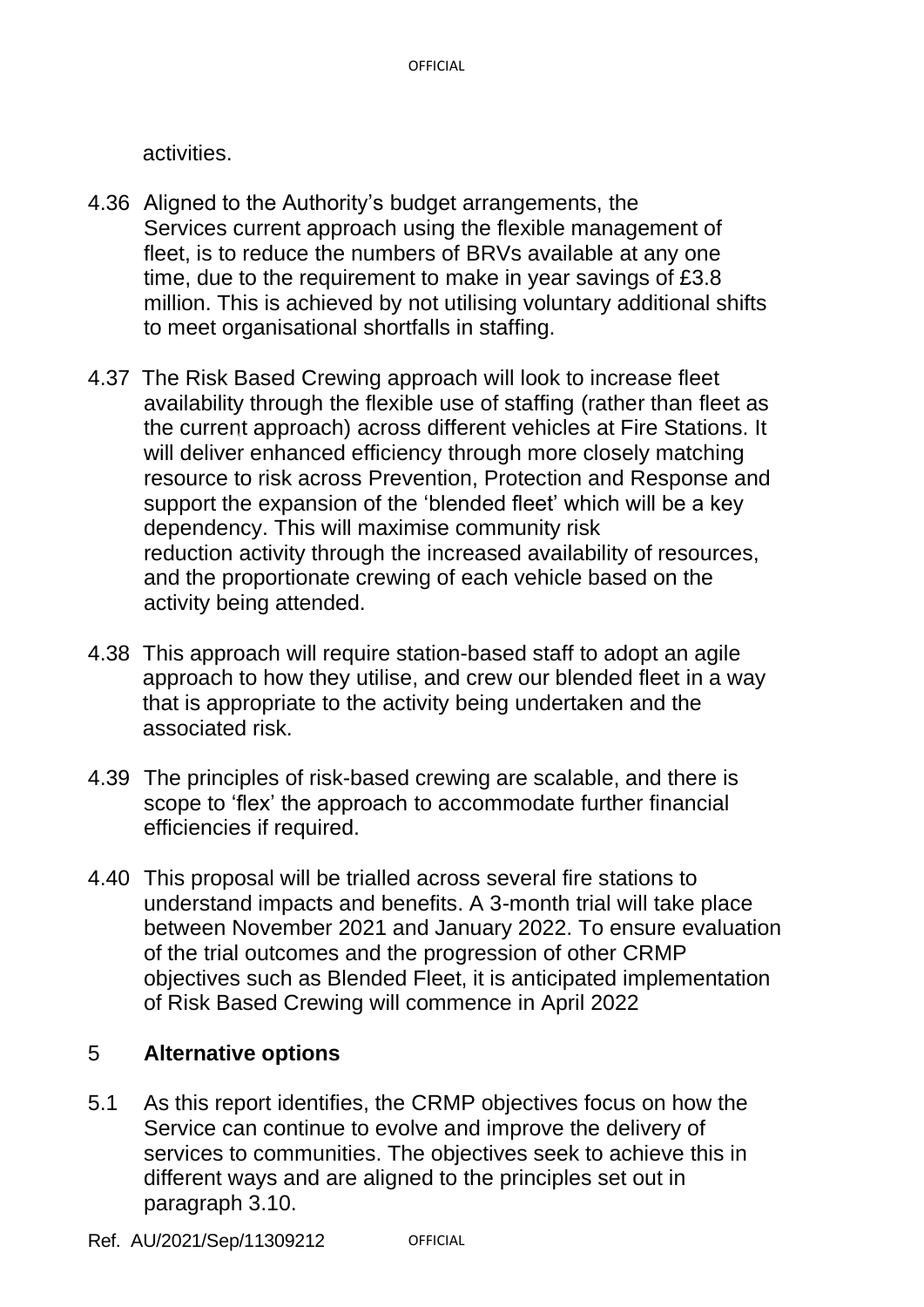activities.

- 4.36 Aligned to the Authority's budget arrangements, the Services current approach using the flexible management of fleet, is to reduce the numbers of BRVs available at any one time, due to the requirement to make in year savings of £3.8 million. This is achieved by not utilising voluntary additional shifts to meet organisational shortfalls in staffing.
- 4.37 The Risk Based Crewing approach will look to increase fleet availability through the flexible use of staffing (rather than fleet as the current approach) across different vehicles at Fire Stations. It will deliver enhanced efficiency through more closely matching resource to risk across Prevention, Protection and Response and support the expansion of the 'blended fleet' which will be a key dependency. This will maximise community risk reduction activity through the increased availability of resources, and the proportionate crewing of each vehicle based on the activity being attended.
- 4.38 This approach will require station-based staff to adopt an agile approach to how they utilise, and crew our blended fleet in a way that is appropriate to the activity being undertaken and the associated risk.
- 4.39 The principles of risk-based crewing are scalable, and there is scope to 'flex' the approach to accommodate further financial efficiencies if required.
- 4.40 This proposal will be trialled across several fire stations to understand impacts and benefits. A 3-month trial will take place between November 2021 and January 2022. To ensure evaluation of the trial outcomes and the progression of other CRMP objectives such as Blended Fleet, it is anticipated implementation of Risk Based Crewing will commence in April 2022

# 5 **Alternative options**

5.1 As this report identifies, the CRMP objectives focus on how the Service can continue to evolve and improve the delivery of services to communities. The objectives seek to achieve this in different ways and are aligned to the principles set out in paragraph 3.10.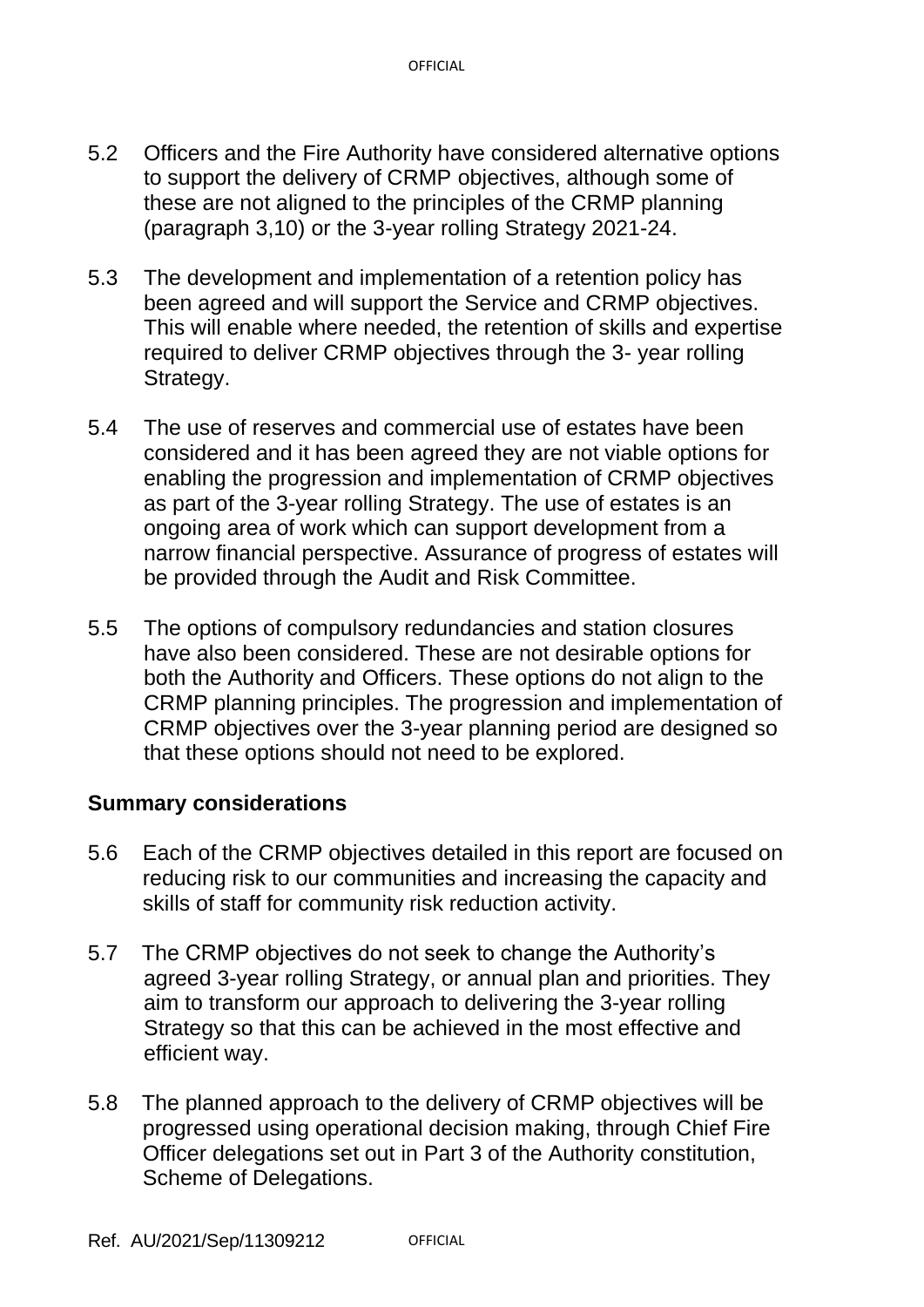- 5.2 Officers and the Fire Authority have considered alternative options to support the delivery of CRMP objectives, although some of these are not aligned to the principles of the CRMP planning (paragraph 3,10) or the 3-year rolling Strategy 2021-24.
- 5.3 The development and implementation of a retention policy has been agreed and will support the Service and CRMP objectives. This will enable where needed, the retention of skills and expertise required to deliver CRMP objectives through the 3- year rolling Strategy.
- 5.4 The use of reserves and commercial use of estates have been considered and it has been agreed they are not viable options for enabling the progression and implementation of CRMP objectives as part of the 3-year rolling Strategy. The use of estates is an ongoing area of work which can support development from a narrow financial perspective. Assurance of progress of estates will be provided through the Audit and Risk Committee.
- 5.5 The options of compulsory redundancies and station closures have also been considered. These are not desirable options for both the Authority and Officers. These options do not align to the CRMP planning principles. The progression and implementation of CRMP objectives over the 3-year planning period are designed so that these options should not need to be explored.

#### **Summary considerations**

- 5.6 Each of the CRMP objectives detailed in this report are focused on reducing risk to our communities and increasing the capacity and skills of staff for community risk reduction activity.
- 5.7 The CRMP objectives do not seek to change the Authority's agreed 3-year rolling Strategy, or annual plan and priorities. They aim to transform our approach to delivering the 3-year rolling Strategy so that this can be achieved in the most effective and efficient way.
- 5.8 The planned approach to the delivery of CRMP objectives will be progressed using operational decision making, through Chief Fire Officer delegations set out in Part 3 of the Authority constitution, Scheme of Delegations.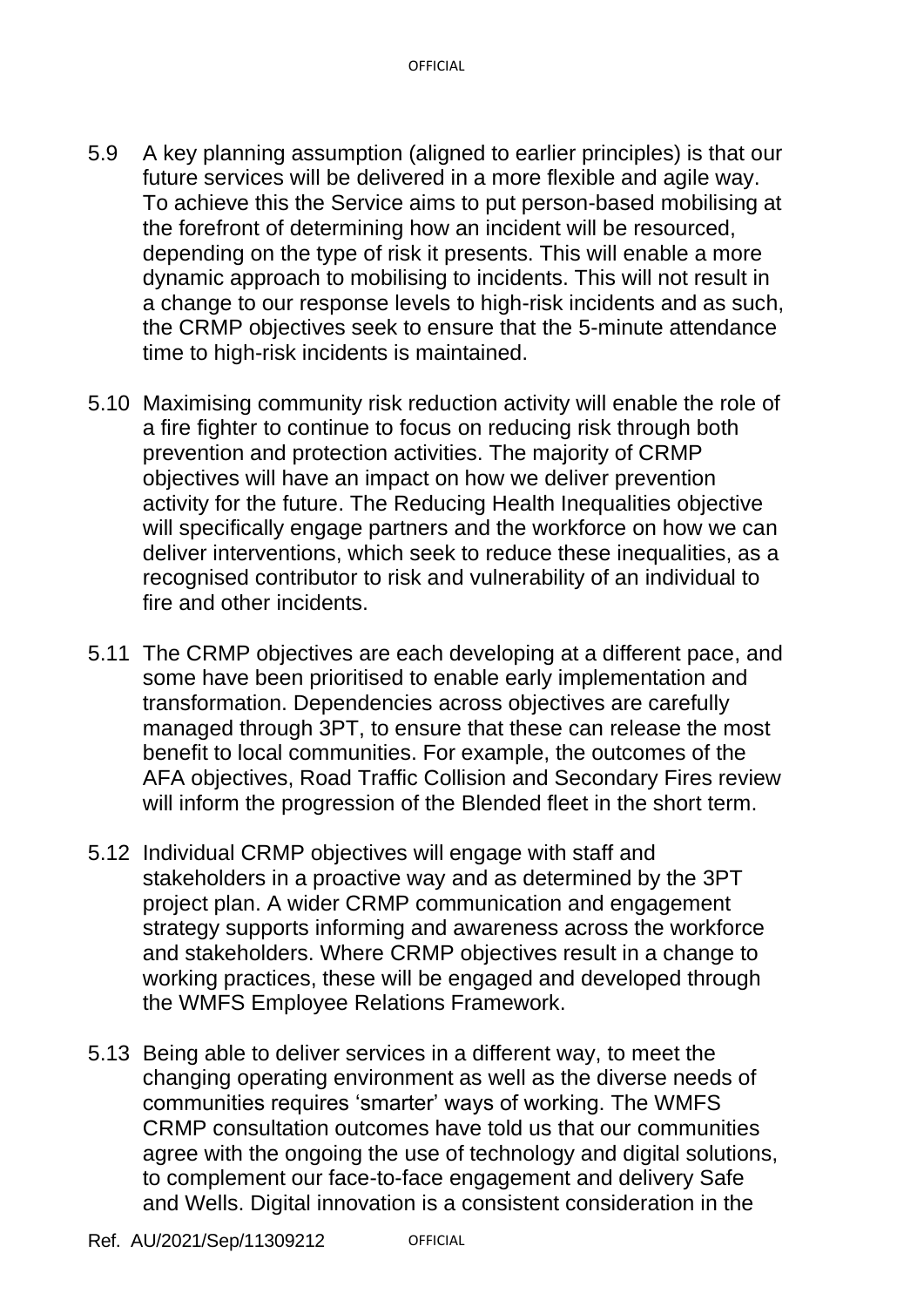- 5.9 A key planning assumption (aligned to earlier principles) is that our future services will be delivered in a more flexible and agile way. To achieve this the Service aims to put person-based mobilising at the forefront of determining how an incident will be resourced, depending on the type of risk it presents. This will enable a more dynamic approach to mobilising to incidents. This will not result in a change to our response levels to high-risk incidents and as such, the CRMP objectives seek to ensure that the 5-minute attendance time to high-risk incidents is maintained.
- 5.10 Maximising community risk reduction activity will enable the role of a fire fighter to continue to focus on reducing risk through both prevention and protection activities. The majority of CRMP objectives will have an impact on how we deliver prevention activity for the future. The Reducing Health Inequalities objective will specifically engage partners and the workforce on how we can deliver interventions, which seek to reduce these inequalities, as a recognised contributor to risk and vulnerability of an individual to fire and other incidents.
- 5.11 The CRMP objectives are each developing at a different pace, and some have been prioritised to enable early implementation and transformation. Dependencies across objectives are carefully managed through 3PT, to ensure that these can release the most benefit to local communities. For example, the outcomes of the AFA objectives, Road Traffic Collision and Secondary Fires review will inform the progression of the Blended fleet in the short term.
- 5.12 Individual CRMP objectives will engage with staff and stakeholders in a proactive way and as determined by the 3PT project plan. A wider CRMP communication and engagement strategy supports informing and awareness across the workforce and stakeholders. Where CRMP objectives result in a change to working practices, these will be engaged and developed through the WMFS Employee Relations Framework.
- 5.13 Being able to deliver services in a different way, to meet the changing operating environment as well as the diverse needs of communities requires 'smarter' ways of working. The WMFS CRMP consultation outcomes have told us that our communities agree with the ongoing the use of technology and digital solutions, to complement our face-to-face engagement and delivery Safe and Wells. Digital innovation is a consistent consideration in the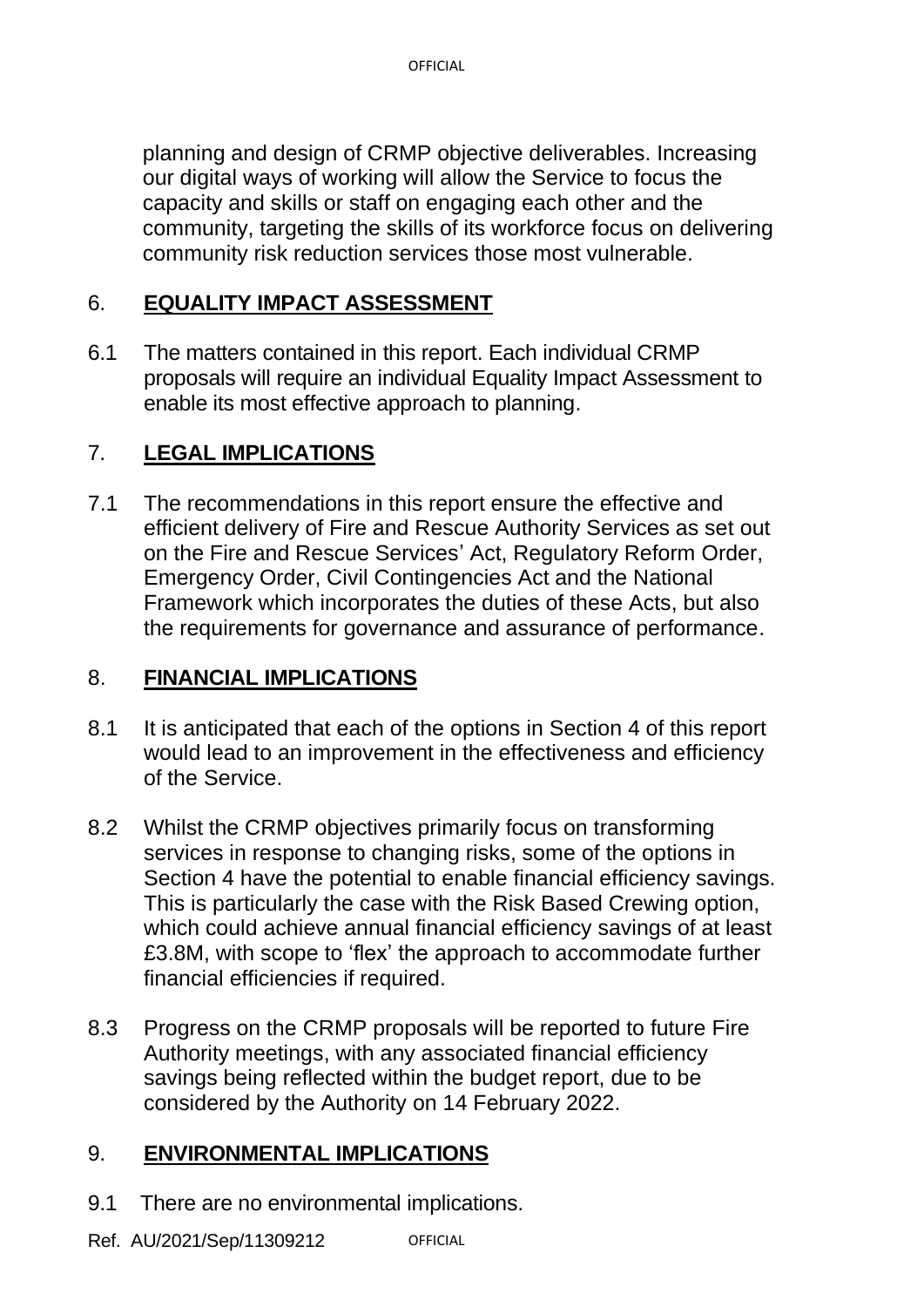planning and design of CRMP objective deliverables. Increasing our digital ways of working will allow the Service to focus the capacity and skills or staff on engaging each other and the community, targeting the skills of its workforce focus on delivering community risk reduction services those most vulnerable.

#### 6. **EQUALITY IMPACT ASSESSMENT**

6.1 The matters contained in this report. Each individual CRMP proposals will require an individual Equality Impact Assessment to enable its most effective approach to planning.

## 7. **LEGAL IMPLICATIONS**

7.1 The recommendations in this report ensure the effective and efficient delivery of Fire and Rescue Authority Services as set out on the Fire and Rescue Services' Act, Regulatory Reform Order, Emergency Order, Civil Contingencies Act and the National Framework which incorporates the duties of these Acts, but also the requirements for governance and assurance of performance.

#### 8. **FINANCIAL IMPLICATIONS**

- 8.1 It is anticipated that each of the options in Section 4 of this report would lead to an improvement in the effectiveness and efficiency of the Service.
- 8.2 Whilst the CRMP objectives primarily focus on transforming services in response to changing risks, some of the options in Section 4 have the potential to enable financial efficiency savings. This is particularly the case with the Risk Based Crewing option, which could achieve annual financial efficiency savings of at least £3.8M, with scope to 'flex' the approach to accommodate further financial efficiencies if required.
- 8.3 Progress on the CRMP proposals will be reported to future Fire Authority meetings, with any associated financial efficiency savings being reflected within the budget report, due to be considered by the Authority on 14 February 2022.

#### 9. **ENVIRONMENTAL IMPLICATIONS**

9.1 There are no environmental implications.